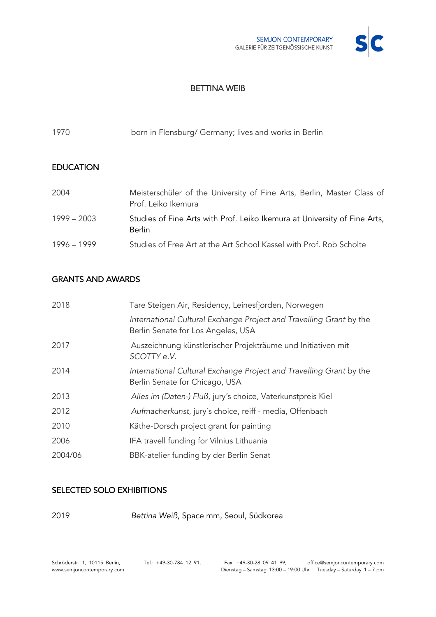

## BETTINA WEIß

| 1970             | born in Flensburg/ Germany; lives and works in Berlin                                         |
|------------------|-----------------------------------------------------------------------------------------------|
| <b>EDUCATION</b> |                                                                                               |
| 2004             | Meisterschüler of the University of Fine Arts, Berlin, Master Class of<br>Prof. Leiko Ikemura |
| $1999 - 2003$    | Studies of Fine Arts with Prof. Leiko Ikemura at University of Fine Arts,<br><b>Berlin</b>    |
| 1996 - 1999      | Studies of Free Art at the Art School Kassel with Prof. Rob Scholte                           |

## GRANTS AND AWARDS

| 2018    | Tare Steigen Air, Residency, Leinesfjorden, Norwegen                                                      |
|---------|-----------------------------------------------------------------------------------------------------------|
|         | International Cultural Exchange Project and Travelling Grant by the<br>Berlin Senate for Los Angeles, USA |
| 2017    | Auszeichnung künstlerischer Projekträume und Initiativen mit<br>SCOTTY e.V.                               |
| 2014    | International Cultural Exchange Project and Travelling Grant by the<br>Berlin Senate for Chicago, USA     |
| 2013    | Alles im (Daten-) Fluß, jury's choice, Vaterkunstpreis Kiel                                               |
| 2012    | Aufmacherkunst, jury's choice, reiff - media, Offenbach                                                   |
| 2010    | Käthe-Dorsch project grant for painting                                                                   |
| 2006    | IFA travell funding for Vilnius Lithuania                                                                 |
| 2004/06 | BBK-atelier funding by der Berlin Senat                                                                   |

#### SELECTED SOLO EXHIBITIONS

2019 *Bettina Weiß*, Space mm, Seoul, Südkorea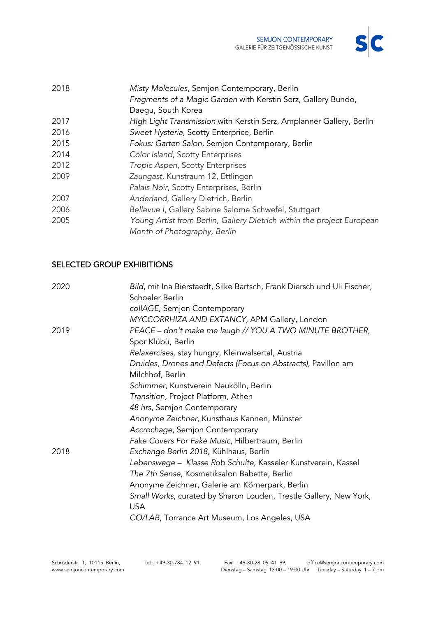

| 2018 | Misty Molecules, Semjon Contemporary, Berlin                           |
|------|------------------------------------------------------------------------|
|      | Fragments of a Magic Garden with Kerstin Serz, Gallery Bundo,          |
|      | Daegu, South Korea                                                     |
| 2017 | High Light Transmission with Kerstin Serz, Amplanner Gallery, Berlin   |
| 2016 | Sweet Hysteria, Scotty Enterprice, Berlin                              |
| 2015 | Fokus: Garten Salon, Semjon Contemporary, Berlin                       |
| 2014 | Color Island, Scotty Enterprises                                       |
| 2012 | Tropic Aspen, Scotty Enterprises                                       |
| 2009 | Zaungast, Kunstraum 12, Ettlingen                                      |
|      | Palais Noir, Scotty Enterprises, Berlin                                |
| 2007 | Anderland, Gallery Dietrich, Berlin                                    |
| 2006 | Bellevue I, Gallery Sabine Salome Schwefel, Stuttgart                  |
| 2005 | Young Artist from Berlin, Gallery Dietrich within the project European |
|      | Month of Photography, Berlin                                           |

# SELECTED GROUP EXHIBITIONS

| Schoeler.Berlin<br>collAGE, Semjon Contemporary                                 |  |
|---------------------------------------------------------------------------------|--|
| MYCCORRHIZA AND EXTANCY, APM Gallery, London                                    |  |
| PEACE - don't make me laugh // YOU A TWO MINUTE BROTHER,<br>2019                |  |
| Spor Klübü, Berlin                                                              |  |
| Relaxercises, stay hungry, Kleinwalsertal, Austria                              |  |
| Druides, Drones and Defects (Focus on Abstracts), Pavillon am                   |  |
| Milchhof, Berlin                                                                |  |
| Schimmer, Kunstverein Neukölln, Berlin                                          |  |
| Transition, Project Platform, Athen                                             |  |
| 48 hrs, Semjon Contemporary                                                     |  |
| Anonyme Zeichner, Kunsthaus Kannen, Münster                                     |  |
| Accrochage, Semjon Contemporary                                                 |  |
| Fake Covers For Fake Music, Hilbertraum, Berlin                                 |  |
| 2018<br>Exchange Berlin 2018, Kühlhaus, Berlin                                  |  |
| Lebenswege – Klasse Rob Schulte, Kasseler Kunstverein, Kassel                   |  |
| The 7th Sense, Kosmetiksalon Babette, Berlin                                    |  |
| Anonyme Zeichner, Galerie am Körnerpark, Berlin                                 |  |
| Small Works, curated by Sharon Louden, Trestle Gallery, New York,<br><b>USA</b> |  |
| CO/LAB, Torrance Art Museum, Los Angeles, USA                                   |  |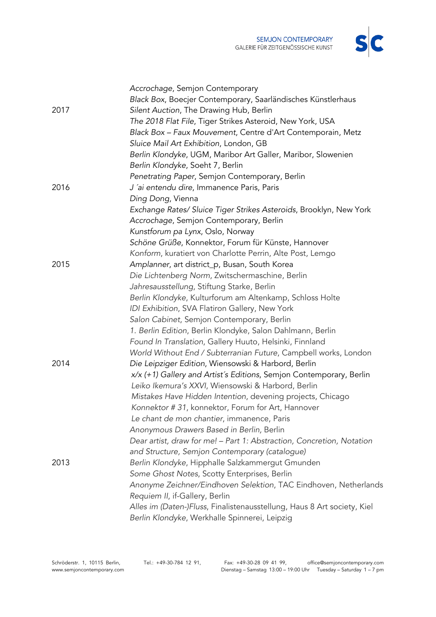

|      | Accrochage, Semjon Contemporary                                         |
|------|-------------------------------------------------------------------------|
|      | Black Box, Boecjer Contemporary, Saarländisches Künstlerhaus            |
| 2017 | Silent Auction, The Drawing Hub, Berlin                                 |
|      | The 2018 Flat File, Tiger Strikes Asteroid, New York, USA               |
|      | Black Box - Faux Mouvement, Centre d'Art Contemporain, Metz             |
|      | Sluice Mail Art Exhibition, London, GB                                  |
|      | Berlin Klondyke, UGM, Maribor Art Galler, Maribor, Slowenien            |
|      | Berlin Klondyke, Soeht 7, Berlin                                        |
|      | Penetrating Paper, Semjon Contemporary, Berlin                          |
| 2016 | J'ai entendu dire, Immanence Paris, Paris                               |
|      | Ding Dong, Vienna                                                       |
|      | Exchange Rates/ Sluice Tiger Strikes Asteroids, Brooklyn, New York      |
|      | Accrochage, Semjon Contemporary, Berlin                                 |
|      | Kunstforum pa Lynx, Oslo, Norway                                        |
|      | Schöne Grüße, Konnektor, Forum für Künste, Hannover                     |
|      | Konform, kuratiert von Charlotte Perrin, Alte Post, Lemgo               |
| 2015 | Amplanner, art district_p, Busan, South Korea                           |
|      | Die Lichtenberg Norm, Zwitschermaschine, Berlin                         |
|      | Jahresausstellung, Stiftung Starke, Berlin                              |
|      | Berlin Klondyke, Kulturforum am Altenkamp, Schloss Holte                |
|      | IDI Exhibition, SVA Flatiron Gallery, New York                          |
|      | Salon Cabinet, Semjon Contemporary, Berlin                              |
|      | 1. Berlin Edition, Berlin Klondyke, Salon Dahlmann, Berlin              |
|      | Found In Translation, Gallery Huuto, Helsinki, Finnland                 |
|      | World Without End / Subterranian Future, Campbell works, London         |
| 2014 | Die Leipziger Edition, Wiensowski & Harbord, Berlin                     |
|      | x/x (+1) Gallery and Artist's Editions, Semjon Contemporary, Berlin     |
|      | Leiko Ikemura's XXVI, Wiensowski & Harbord, Berlin                      |
|      | Mistakes Have Hidden Intention, devening projects, Chicago              |
|      | Konnektor #31, konnektor, Forum for Art, Hannover                       |
|      | Le chant de mon chantier, immanence, Paris                              |
|      | Anonymous Drawers Based in Berlin, Berlin                               |
|      | Dear artist, draw for me! - Part 1: Abstraction, Concretion, Notation   |
|      | and Structure, Semjon Contemporary (catalogue)                          |
| 2013 | Berlin Klondyke, Hipphalle Salzkammergut Gmunden                        |
|      | Some Ghost Notes, Scotty Enterprises, Berlin                            |
|      | Anonyme Zeichner/Eindhoven Selektion, TAC Eindhoven, Netherlands        |
|      | Requiem II, if-Gallery, Berlin                                          |
|      | Alles im (Daten-)Fluss, Finalistenausstellung, Haus 8 Art society, Kiel |
|      | Berlin Klondyke, Werkhalle Spinnerei, Leipzig                           |